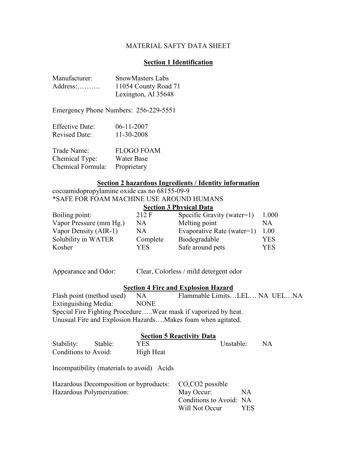## MATERIAL SAFTY DATA SHEET

## **Section 1 Identification**

| Manufacturer: | <b>SnowMasters Labs</b> |
|---------------|-------------------------|
|               | 11054 County Road 71    |
|               | Lexington, Al 35648     |

Emergency Phone Numbers: 256-229-5551

| Effective Date:      | $06-11-2007$ |
|----------------------|--------------|
| <b>Revised Date:</b> | 11-30-2008   |

| Trade Name:       | <b>FLOGO FOAM</b> |
|-------------------|-------------------|
| Chemical Type:    | Water Base        |
| Chemical Formula: | Proprietary       |

## **Section 2 hazardous Ingredients / Identity information**

cocoamidopropylamine oxide cas no 68155-09-9 \*SAFE FOR FOAM MACHINE USE AROUND HUMANS

| <b>Section 3 Physical Data</b> |  |
|--------------------------------|--|
|--------------------------------|--|

| Boiling point:          | 212 F    | Specific Gravity (water=1) | 1.000 |
|-------------------------|----------|----------------------------|-------|
| Vapor Pressure (mm Hg.) | NA       | Melting point              | NA.   |
| Vapor Density (AIR-1)   | NA       | Evaporative Rate (water=1) | 1.00  |
| Solubility in WATER     | Complete | Biodegradable              | YES   |
| Kosher                  | YES.     | Safe around pets           | YES   |
|                         |          |                            |       |

Appearance and Odor: Clear, Colorless / mild detergent odor

### **Section 4 Fire and Explosion Hazard**

Flash point (method used) NA Flammable Limits...LEL... NA UEL...NA Extinguishing Media: NONE Special Fire Fighting Procedure…..Wear mask if vaporized by heat. Unusual Fire and Explosion Hazards….Makes foam when agitated.

#### **Section 5 Reactivity Data**

| Stability:                | Stable: | YES.                                       | Unstable:               |     | NA. |
|---------------------------|---------|--------------------------------------------|-------------------------|-----|-----|
| Conditions to Avoid:      |         | High Heat                                  |                         |     |     |
|                           |         | Incompatibility (materials to avoid) Acids |                         |     |     |
|                           |         | Hazardous Decomposition or byproducts:     | CO.CO2 possible         |     |     |
| Hazardous Polymerization: |         | May Occur:                                 | NA.                     |     |     |
|                           |         |                                            | Conditions to Avoid: NA |     |     |
|                           |         |                                            | Will Not Occur          | YES |     |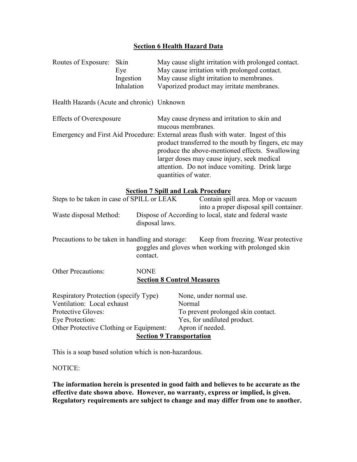# **Section 6 Health Hazard Data**

| Routes of Exposure:                                                                                                                                                                   | Skin<br>Eye<br>Ingestion<br>Inhalation | May cause slight irritation with prolonged contact.<br>May cause irritation with prolonged contact.<br>May cause slight irritation to membranes.<br>Vaporized product may irritate membranes.                                                                                                                          |  |
|---------------------------------------------------------------------------------------------------------------------------------------------------------------------------------------|----------------------------------------|------------------------------------------------------------------------------------------------------------------------------------------------------------------------------------------------------------------------------------------------------------------------------------------------------------------------|--|
| Health Hazards (Acute and chronic) Unknown                                                                                                                                            |                                        |                                                                                                                                                                                                                                                                                                                        |  |
| <b>Effects of Overexposure</b>                                                                                                                                                        |                                        | May cause dryness and irritation to skin and<br>mucous membranes.                                                                                                                                                                                                                                                      |  |
|                                                                                                                                                                                       |                                        | Emergency and First Aid Procedure: External areas flush with water. Ingest of this<br>product transferred to the mouth by fingers, etc may<br>produce the above-mentioned effects. Swallowing<br>larger doses may cause injury, seek medical<br>attention. Do not induce vomiting. Drink large<br>quantities of water. |  |
|                                                                                                                                                                                       |                                        | <b>Section 7 Spill and Leak Procedure</b>                                                                                                                                                                                                                                                                              |  |
| Steps to be taken in case of SPILL or LEAK<br>Contain spill area. Mop or vacuum<br>Dispose of According to local, state and federal waste<br>Waste disposal Method:<br>disposal laws. |                                        | into a proper disposal spill container.                                                                                                                                                                                                                                                                                |  |
| Precautions to be taken in handling and storage:<br>Keep from freezing. Wear protective<br>goggles and gloves when working with prolonged skin<br>contact.                            |                                        |                                                                                                                                                                                                                                                                                                                        |  |
| <b>Other Precautions:</b><br><b>NONE</b><br><b>Section 8 Control Measures</b>                                                                                                         |                                        |                                                                                                                                                                                                                                                                                                                        |  |
| Respiratory Protection (specify Type)<br>Ventilation: Local exhaust<br>Protective Gloves:<br>Eye Protection:<br>Other Protective Clothing or Equipment:                               |                                        | None, under normal use.<br>Normal<br>To prevent prolonged skin contact.<br>Yes, for undiluted product.<br>Apron if needed.<br><b>Section 9 Transportation</b>                                                                                                                                                          |  |

This is a soap based solution which is non-hazardous.

NOTICE:

**The information herein is presented in good faith and believes to be accurate as the effective date shown above. However, no warranty, express or implied, is given. Regulatory requirements are subject to change and may differ from one to another.**